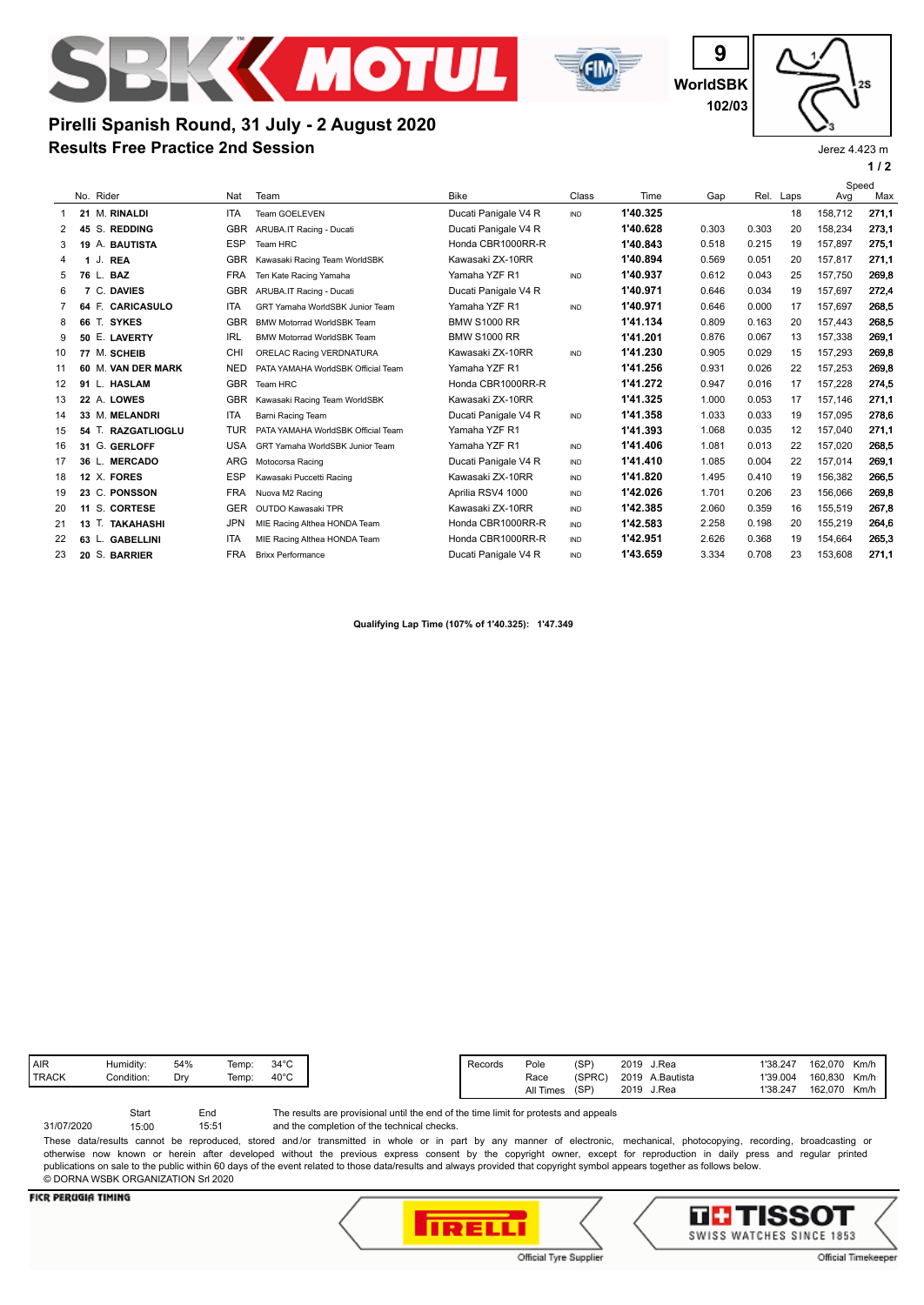



**WorldSBK 9 102/03**

**1 / 2** Jerez 4.423 m

# **Results Free Practice 2nd Session Pirelli Spanish Round, 31 July - 2 August 2020**

|    |    |           |                    |            |                                    |                      |            |          | Speed |       |           |         |       |
|----|----|-----------|--------------------|------------|------------------------------------|----------------------|------------|----------|-------|-------|-----------|---------|-------|
|    |    | No. Rider |                    | Nat        | Team                               | <b>Bike</b>          | Class      | Time     | Gap   |       | Rel. Laps | Avg     | Max   |
| 1  |    |           | 21 M. RINALDI      | <b>ITA</b> | Team GOELEVEN                      | Ducati Panigale V4 R | <b>IND</b> | 1'40.325 |       |       | 18        | 158.712 | 271,1 |
| 2  | 45 |           | S. REDDING         | <b>GBR</b> | ARUBA.IT Racing - Ducati           | Ducati Panigale V4 R |            | 1'40.628 | 0.303 | 0.303 | 20        | 158,234 | 273,1 |
| 3  | 19 |           | A. BAUTISTA        | <b>ESP</b> | Team HRC                           | Honda CBR1000RR-R    |            | 1'40.843 | 0.518 | 0.215 | 19        | 157,897 | 275,1 |
| 4  | 1  | J. REA    |                    | <b>GBR</b> | Kawasaki Racing Team WorldSBK      | Kawasaki ZX-10RR     |            | 1'40.894 | 0.569 | 0.051 | 20        | 157.817 | 271.1 |
| 5  | 76 | L. BAZ    |                    | <b>FRA</b> | Ten Kate Racing Yamaha             | Yamaha YZF R1        | <b>IND</b> | 1'40.937 | 0.612 | 0.043 | 25        | 157,750 | 269.8 |
| 6  |    | C.        | <b>DAVIES</b>      | <b>GBR</b> | ARUBA.IT Racing - Ducati           | Ducati Panigale V4 R |            | 1'40.971 | 0.646 | 0.034 | 19        | 157.697 | 272.4 |
|    | 64 | E.        | <b>CARICASULO</b>  | <b>ITA</b> | GRT Yamaha WorldSBK Junior Team    | Yamaha YZF R1        | <b>IND</b> | 1'40.971 | 0.646 | 0.000 | 17        | 157.697 | 268.5 |
| 8  | 66 | Т.        | <b>SYKES</b>       | <b>GBR</b> | <b>BMW Motorrad WorldSBK Team</b>  | <b>BMW S1000 RR</b>  |            | 1'41.134 | 0.809 | 0.163 | 20        | 157.443 | 268.5 |
| 9  | 50 |           | E. LAVERTY         | <b>IRL</b> | <b>BMW Motorrad WorldSBK Team</b>  | <b>BMW S1000 RR</b>  |            | 1'41.201 | 0.876 | 0.067 | 13        | 157.338 | 269.1 |
| 10 |    |           | 77 M. SCHEIB       | CHI        | ORELAC Racing VERDNATURA           | Kawasaki ZX-10RR     | IND        | 1'41.230 | 0.905 | 0.029 | 15        | 157.293 | 269.8 |
| 11 |    |           | 60 M. VAN DER MARK | <b>NED</b> | PATA YAMAHA WorldSBK Official Team | Yamaha YZF R1        |            | 1'41.256 | 0.931 | 0.026 | 22        | 157.253 | 269.8 |
| 12 |    |           | 91 L. HASLAM       | GBR        | Team HRC                           | Honda CBR1000RR-R    |            | 1'41.272 | 0.947 | 0.016 | 17        | 157,228 | 274,5 |
| 13 |    |           | 22 A. LOWES        | <b>GBR</b> | Kawasaki Racing Team WorldSBK      | Kawasaki ZX-10RR     |            | 1'41.325 | 1.000 | 0.053 | 17        | 157.146 | 271,1 |
| 14 |    |           | 33 M. MELANDRI     | <b>ITA</b> | Barni Racing Team                  | Ducati Panigale V4 R | IND        | 1'41.358 | 1.033 | 0.033 | 19        | 157,095 | 278,6 |
| 15 | 54 |           | T. RAZGATLIOGLU    | <b>TUR</b> | PATA YAMAHA WorldSBK Official Team | Yamaha YZF R1        |            | 1'41.393 | 1.068 | 0.035 | 12        | 157.040 | 271.1 |
| 16 |    |           | 31 G. GERLOFF      | <b>USA</b> | GRT Yamaha WorldSBK Junior Team    | Yamaha YZF R1        | IND        | 1'41.406 | 1.081 | 0.013 | 22        | 157.020 | 268.5 |
| 17 | 36 |           | <b>MERCADO</b>     | <b>ARG</b> | Motocorsa Racing                   | Ducati Panigale V4 R | IND        | 1'41.410 | 1.085 | 0.004 | 22        | 157,014 | 269.1 |
| 18 |    |           | 12 X. FORES        | <b>ESP</b> | Kawasaki Puccetti Racing           | Kawasaki ZX-10RR     | IND        | 1'41.820 | 1.495 | 0.410 | 19        | 156,382 | 266,5 |
| 19 |    |           | 23 C. PONSSON      | <b>FRA</b> | Nuova M2 Racing                    | Aprilia RSV4 1000    | IND        | 1'42.026 | 1.701 | 0.206 | 23        | 156.066 | 269.8 |
| 20 |    |           | 11 S. CORTESE      | <b>GER</b> | OUTDO Kawasaki TPR                 | Kawasaki ZX-10RR     | <b>IND</b> | 1'42.385 | 2.060 | 0.359 | 16        | 155,519 | 267,8 |
| 21 |    |           | 13 T. TAKAHASHI    | <b>JPN</b> | MIE Racing Althea HONDA Team       | Honda CBR1000RR-R    | IND        | 1'42.583 | 2.258 | 0.198 | 20        | 155,219 | 264,6 |
| 22 |    |           | 63 L. GABELLINI    | <b>ITA</b> | MIE Racing Althea HONDA Team       | Honda CBR1000RR-R    | IND        | 1'42.951 | 2.626 | 0.368 | 19        | 154,664 | 265,3 |
| 23 |    |           | 20 S. BARRIER      | <b>FRA</b> | <b>Brixx Performance</b>           | Ducati Panigale V4 R | IND        | 1'43.659 | 3.334 | 0.708 | 23        | 153,608 | 271,1 |
|    |    |           |                    |            |                                    |                      |            |          |       |       |           |         |       |

**Qualifying Lap Time (107% of 1'40.325): 1'47.349**

| <b>AIR</b>   | Humidity:  | 54% | Temp: | $34^{\circ}$ C |
|--------------|------------|-----|-------|----------------|
| <b>TRACK</b> | Condition: | Dr  | Temp: | $40^{\circ}$ C |
|              |            |     |       |                |

The results are provisional until the end of the time limit for protests and appeals Start End

and the completion of the technical checks. 15:51 31/07/2020 15:00

These data/results cannot be reproduced, stored and/or transmitted in whole or in part by any manner of electronic, mechanical, photocopying, recording, broadcasting or otherwise now known or herein after developed without the previous express consent by the copyright owner, except for reproduction in daily press and regular printed publications on sale to the public within 60 days of the event related to those data/results and always provided that copyright symbol appears together as follows below. © DORNA WSBK ORGANIZATION Srl 2020

## **FICR PERUGIA TIMING**